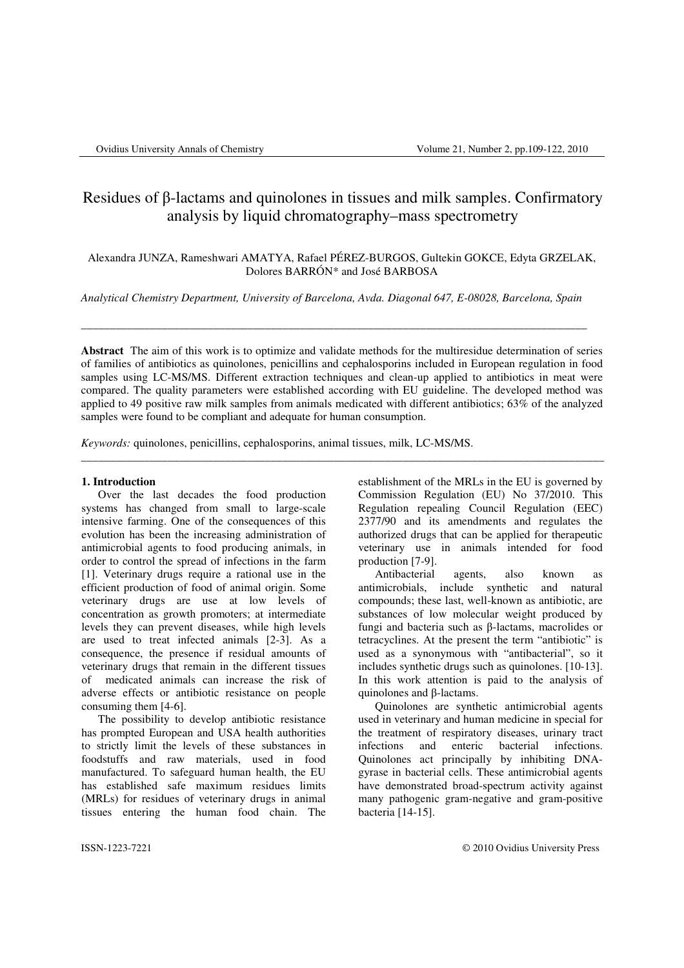# Residues of β-lactams and quinolones in tissues and milk samples. Confirmatory analysis by liquid chromatography–mass spectrometry

Alexandra JUNZA, Rameshwari AMATYA, Rafael PÉREZ-BURGOS, Gultekin GOKCE, Edyta GRZELAK, Dolores BARRÓN\* and José BARBOSA

*Analytical Chemistry Department, University of Barcelona, Avda. Diagonal 647, E-08028, Barcelona, Spain* 

\_\_\_\_\_\_\_\_\_\_\_\_\_\_\_\_\_\_\_\_\_\_\_\_\_\_\_\_\_\_\_\_\_\_\_\_\_\_\_\_\_\_\_\_\_\_\_\_\_\_\_\_\_\_\_\_\_\_\_\_\_\_\_\_\_\_\_\_\_\_\_\_\_\_\_\_\_\_\_\_\_\_\_\_\_\_\_\_

**Abstract** The aim of this work is to optimize and validate methods for the multiresidue determination of series of families of antibiotics as quinolones, penicillins and cephalosporins included in European regulation in food samples using LC-MS/MS. Different extraction techniques and clean-up applied to antibiotics in meat were compared. The quality parameters were established according with EU guideline. The developed method was applied to 49 positive raw milk samples from animals medicated with different antibiotics; 63% of the analyzed samples were found to be compliant and adequate for human consumption.

\_\_\_\_\_\_\_\_\_\_\_\_\_\_\_\_\_\_\_\_\_\_\_\_\_\_\_\_\_\_\_\_\_\_\_\_\_\_\_\_\_\_\_\_\_\_\_\_\_\_\_\_\_\_\_\_\_\_\_\_\_\_\_\_\_\_\_\_\_\_\_\_\_\_\_\_\_\_\_\_\_\_\_\_\_\_\_\_\_\_\_

*Keywords:* quinolones, penicillins, cephalosporins, animal tissues, milk, LC-MS/MS.

#### **1. Introduction**

Over the last decades the food production systems has changed from small to large-scale intensive farming. One of the consequences of this evolution has been the increasing administration of antimicrobial agents to food producing animals, in order to control the spread of infections in the farm [1]. Veterinary drugs require a rational use in the efficient production of food of animal origin. Some veterinary drugs are use at low levels of concentration as growth promoters; at intermediate levels they can prevent diseases, while high levels are used to treat infected animals [2-3]. As a consequence, the presence if residual amounts of veterinary drugs that remain in the different tissues of medicated animals can increase the risk of adverse effects or antibiotic resistance on people consuming them [4-6].

The possibility to develop antibiotic resistance has prompted European and USA health authorities to strictly limit the levels of these substances in foodstuffs and raw materials, used in food manufactured. To safeguard human health, the EU has established safe maximum residues limits (MRLs) for residues of veterinary drugs in animal tissues entering the human food chain. The establishment of the MRLs in the EU is governed by Commission Regulation (EU) No 37/2010. This Regulation repealing Council Regulation (EEC) 2377/90 and its amendments and regulates the authorized drugs that can be applied for therapeutic veterinary use in animals intended for food production [7-9].

Antibacterial agents, also known as antimicrobials, include synthetic and natural compounds; these last, well-known as antibiotic, are substances of low molecular weight produced by fungi and bacteria such as β-lactams, macrolides or tetracyclines. At the present the term "antibiotic" is used as a synonymous with "antibacterial", so it includes synthetic drugs such as quinolones. [10-13]. In this work attention is paid to the analysis of quinolones and β-lactams.

Quinolones are synthetic antimicrobial agents used in veterinary and human medicine in special for the treatment of respiratory diseases, urinary tract infections and enteric bacterial infections. Quinolones act principally by inhibiting DNAgyrase in bacterial cells. These antimicrobial agents have demonstrated broad-spectrum activity against many pathogenic gram-negative and gram-positive bacteria [14-15].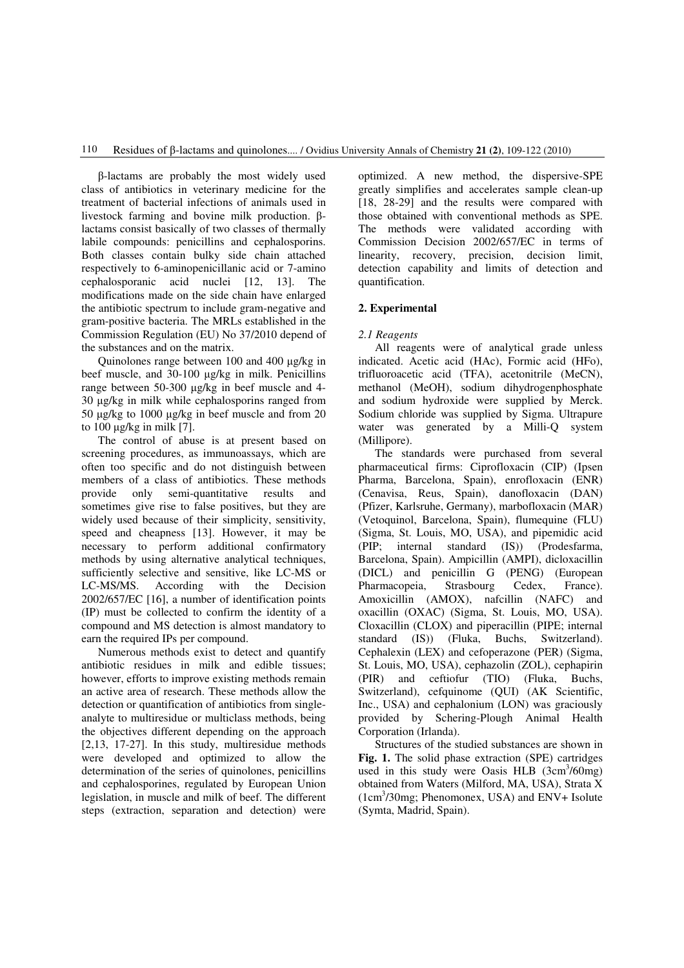β-lactams are probably the most widely used class of antibiotics in veterinary medicine for the treatment of bacterial infections of animals used in livestock farming and bovine milk production. βlactams consist basically of two classes of thermally labile compounds: penicillins and cephalosporins. Both classes contain bulky side chain attached respectively to 6-aminopenicillanic acid or 7-amino cephalosporanic acid nuclei [12, 13]. The modifications made on the side chain have enlarged the antibiotic spectrum to include gram-negative and gram-positive bacteria. The MRLs established in the Commission Regulation (EU) No 37/2010 depend of the substances and on the matrix.

Quinolones range between 100 and 400 µg/kg in beef muscle, and 30-100 µg/kg in milk. Penicillins range between 50-300 µg/kg in beef muscle and 4- 30 µg/kg in milk while cephalosporins ranged from 50 µg/kg to 1000 µg/kg in beef muscle and from 20 to 100 µg/kg in milk [7].

The control of abuse is at present based on screening procedures, as immunoassays, which are often too specific and do not distinguish between members of a class of antibiotics. These methods provide only semi-quantitative results and sometimes give rise to false positives, but they are widely used because of their simplicity, sensitivity, speed and cheapness [13]. However, it may be necessary to perform additional confirmatory methods by using alternative analytical techniques, sufficiently selective and sensitive, like LC-MS or LC-MS/MS. According with the Decision 2002/657/EC [16], a number of identification points (IP) must be collected to confirm the identity of a compound and MS detection is almost mandatory to earn the required IPs per compound.

Numerous methods exist to detect and quantify antibiotic residues in milk and edible tissues; however, efforts to improve existing methods remain an active area of research. These methods allow the detection or quantification of antibiotics from singleanalyte to multiresidue or multiclass methods, being the objectives different depending on the approach [2,13, 17-27]. In this study, multiresidue methods were developed and optimized to allow the determination of the series of quinolones, penicillins and cephalosporines, regulated by European Union legislation, in muscle and milk of beef. The different steps (extraction, separation and detection) were

optimized. A new method, the dispersive-SPE greatly simplifies and accelerates sample clean-up [18, 28-29] and the results were compared with those obtained with conventional methods as SPE. The methods were validated according with Commission Decision 2002/657/EC in terms of linearity, recovery, precision, decision limit, detection capability and limits of detection and quantification.

# **2. Experimental**

# *2.1 Reagents*

All reagents were of analytical grade unless indicated. Acetic acid (HAc), Formic acid (HFo), trifluoroacetic acid (TFA), acetonitrile (MeCN), methanol (MeOH), sodium dihydrogenphosphate and sodium hydroxide were supplied by Merck. Sodium chloride was supplied by Sigma. Ultrapure water was generated by a Milli-Q system (Millipore).

The standards were purchased from several pharmaceutical firms: Ciprofloxacin (CIP) (Ipsen Pharma, Barcelona, Spain), enrofloxacin (ENR) (Cenavisa, Reus, Spain), danofloxacin (DAN) (Pfizer, Karlsruhe, Germany), marbofloxacin (MAR) (Vetoquinol, Barcelona, Spain), flumequine (FLU) (Sigma, St. Louis, MO, USA), and pipemidic acid (PIP; internal standard (IS)) (Prodesfarma, Barcelona, Spain). Ampicillin (AMPI), dicloxacillin (DICL) and penicillin G (PENG) (European Pharmacopeia, Strasbourg Cedex, France). Amoxicillin (AMOX), nafcillin (NAFC) and oxacillin (OXAC) (Sigma, St. Louis, MO, USA). Cloxacillin (CLOX) and piperacillin (PIPE; internal standard (IS)) (Fluka, Buchs, Switzerland). Cephalexin (LEX) and cefoperazone (PER) (Sigma, St. Louis, MO, USA), cephazolin (ZOL), cephapirin (PIR) and ceftiofur (TIO) (Fluka, Buchs, Switzerland), cefquinome (QUI) (AK Scientific, Inc., USA) and cephalonium (LON) was graciously provided by Schering-Plough Animal Health Corporation (Irlanda).

Structures of the studied substances are shown in **Fig. 1.** The solid phase extraction (SPE) cartridges used in this study were Oasis HLB (3cm<sup>3</sup>/60mg) obtained from Waters (Milford, MA, USA), Strata X (1cm<sup>3</sup> /30mg; Phenomonex, USA) and ENV+ Isolute (Symta, Madrid, Spain).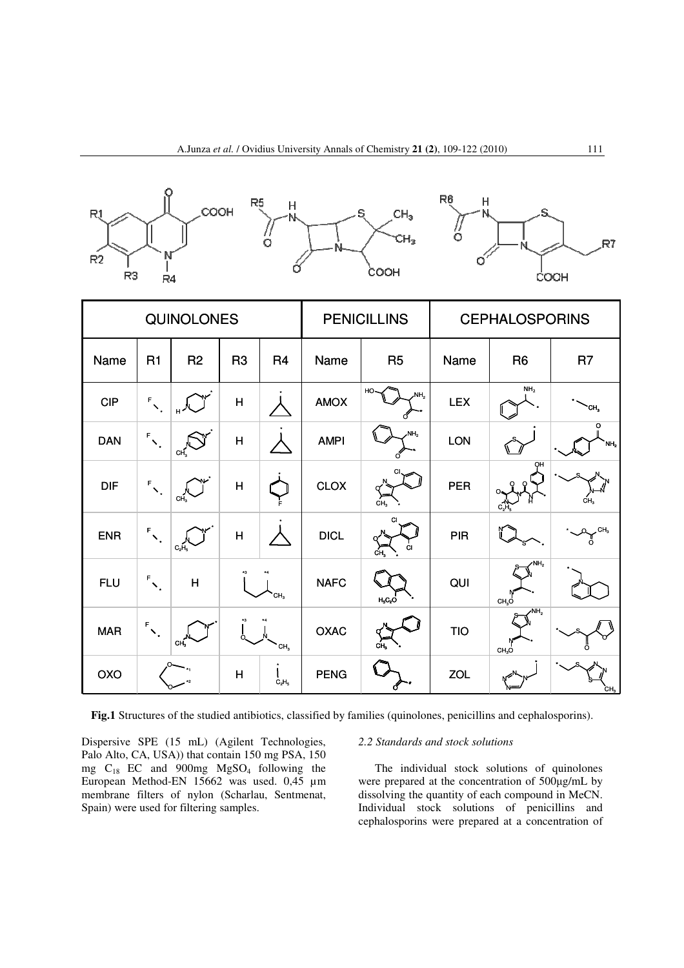





| <b>QUINOLONES</b> |                                        |                 |                 | <b>PENICILLINS</b> |             | <b>CEPHALOSPORINS</b>  |            |                                      |                          |
|-------------------|----------------------------------------|-----------------|-----------------|--------------------|-------------|------------------------|------------|--------------------------------------|--------------------------|
| Name              | R <sub>1</sub>                         | R <sub>2</sub>  | R <sub>3</sub>  | R <sub>4</sub>     | Name        | R <sub>5</sub>         | Name       | R <sub>6</sub>                       | R <sub>7</sub>           |
| <b>CIP</b>        | $\mathsf{F}_{\mathsf{X}_\star}$        |                 | H               |                    | <b>AMOX</b> | HO-<br>NH <sub>2</sub> | <b>LEX</b> | NH <sub>2</sub>                      | CH,                      |
| <b>DAN</b>        | $\mathsf{F}_{\nabla_{\mathbf{x}}}$     | CH <sub>3</sub> | H               |                    | <b>AMPI</b> | NH <sub>2</sub>        | LON        |                                      | o<br>NH <sub>2</sub>     |
| <b>DIF</b>        | $\mathbf{F}_{\mathbf{V}_{\mathbf{r}}}$ | CH <sub>3</sub> | H               |                    | CLOX        | CH <sub>2</sub>        | PER        | он                                   | CH.                      |
| <b>ENR</b>        | $\mathsf{F}_{\nabla_{\mathbf{x}}}$     | $C_2H_5$        | $\mathsf{H}$    |                    | <b>DICL</b> | о<br>ĊI<br>ĊН,         | <b>PIR</b> |                                      | $\text{R}^{\text{CH}_3}$ |
| <b>FLU</b>        | $\mathsf{F}_{\nabla_{\mathbf{x}}}$     | $\overline{H}$  | CH <sub>3</sub> |                    | <b>NAFC</b> | $H_5C_2O$              | QUI        | NH <sub>2</sub><br>CH <sub>3</sub> O |                          |
| <b>MAR</b>        | $\mathsf{F}_{\infty}$                  | CH <sub>3</sub> |                 | CH <sub>3</sub>    | OXAC        | cн.                    | <b>TIO</b> | $\sqrt{NH_2}$<br>CH <sub>3</sub> O   |                          |
| OXO               |                                        |                 | H               | $C_2H_5$           | <b>PENG</b> |                        | <b>ZOL</b> |                                      | CH3                      |

**Fig.1** Structures of the studied antibiotics, classified by families (quinolones, penicillins and cephalosporins).

Dispersive SPE (15 mL) (Agilent Technologies, Palo Alto, CA, USA)) that contain 150 mg PSA, 150 mg C18 EC and 900mg MgSO4 following the European Method-EN 15662 was used. 0,45 µm membrane filters of nylon (Scharlau, Sentmenat, Spain) were used for filtering samples.

## *2.2 Standards and stock solutions*

The individual stock solutions of quinolones were prepared at the concentration of 500µg/mL by dissolving the quantity of each compound in MeCN. Individual stock solutions of penicillins and cephalosporins were prepared at a concentration of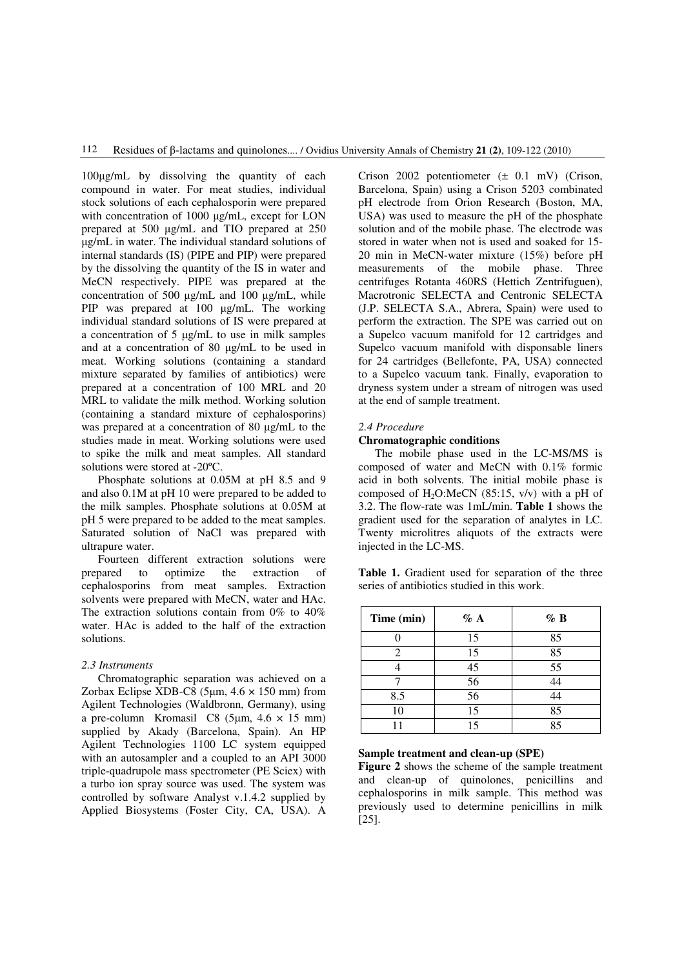100µg/mL by dissolving the quantity of each compound in water. For meat studies, individual stock solutions of each cephalosporin were prepared with concentration of 1000 µg/mL, except for LON prepared at 500 µg/mL and TIO prepared at 250 µg/mL in water. The individual standard solutions of internal standards (IS) (PIPE and PIP) were prepared by the dissolving the quantity of the IS in water and MeCN respectively. PIPE was prepared at the concentration of 500 µg/mL and 100 µg/mL, while PIP was prepared at 100 µg/mL. The working individual standard solutions of IS were prepared at a concentration of 5 µg/mL to use in milk samples and at a concentration of 80 µg/mL to be used in meat. Working solutions (containing a standard mixture separated by families of antibiotics) were prepared at a concentration of 100 MRL and 20 MRL to validate the milk method. Working solution (containing a standard mixture of cephalosporins) was prepared at a concentration of 80  $\mu$ g/mL to the studies made in meat. Working solutions were used to spike the milk and meat samples. All standard solutions were stored at -20ºC.

Phosphate solutions at 0.05M at pH 8.5 and 9 and also 0.1M at pH 10 were prepared to be added to the milk samples. Phosphate solutions at 0.05M at pH 5 were prepared to be added to the meat samples. Saturated solution of NaCl was prepared with ultrapure water.

Fourteen different extraction solutions were prepared to optimize the extraction of cephalosporins from meat samples. Extraction solvents were prepared with MeCN, water and HAc. The extraction solutions contain from 0% to 40% water. HAc is added to the half of the extraction solutions.

# *2.3 Instruments*

Chromatographic separation was achieved on a Zorbax Eclipse XDB-C8 (5µm, 4.6 × 150 mm) from Agilent Technologies (Waldbronn, Germany), using a pre-column Kromasil C8 (5 $\mu$ m, 4.6  $\times$  15 mm) supplied by Akady (Barcelona, Spain). An HP Agilent Technologies 1100 LC system equipped with an autosampler and a coupled to an API 3000 triple-quadrupole mass spectrometer (PE Sciex) with a turbo ion spray source was used. The system was controlled by software Analyst v.1.4.2 supplied by Applied Biosystems (Foster City, CA, USA). A Crison 2002 potentiometer (± 0.1 mV) (Crison, Barcelona, Spain) using a Crison 5203 combinated pH electrode from Orion Research (Boston, MA, USA) was used to measure the pH of the phosphate solution and of the mobile phase. The electrode was stored in water when not is used and soaked for 15- 20 min in MeCN-water mixture (15%) before pH measurements of the mobile phase. Three centrifuges Rotanta 460RS (Hettich Zentrifuguen), Macrotronic SELECTA and Centronic SELECTA (J.P. SELECTA S.A., Abrera, Spain) were used to perform the extraction. The SPE was carried out on a Supelco vacuum manifold for 12 cartridges and Supelco vacuum manifold with disponsable liners for 24 cartridges (Bellefonte, PA, USA) connected to a Supelco vacuum tank. Finally, evaporation to dryness system under a stream of nitrogen was used at the end of sample treatment.

# *2.4 Procedure*

# **Chromatographic conditions**

The mobile phase used in the LC-MS/MS is composed of water and MeCN with 0.1% formic acid in both solvents. The initial mobile phase is composed of  $H_2O$ :MeCN (85:15, v/v) with a pH of 3.2. The flow-rate was 1mL/min. **Table 1** shows the gradient used for the separation of analytes in LC. Twenty microlitres aliquots of the extracts were injected in the LC-MS.

**Table 1.** Gradient used for separation of the three series of antibiotics studied in this work.

| Time (min) | $\%$ A | $\%$ B |
|------------|--------|--------|
|            | 15     | 85     |
| 2          | 15     | 85     |
|            | 45     | 55     |
|            | 56     | 44     |
| 8.5        | 56     | 44     |
| 10         | 15     | 85     |
|            | 15     | 85     |

#### **Sample treatment and clean-up (SPE)**

**Figure 2** shows the scheme of the sample treatment and clean-up of quinolones, penicillins and cephalosporins in milk sample. This method was previously used to determine penicillins in milk [25].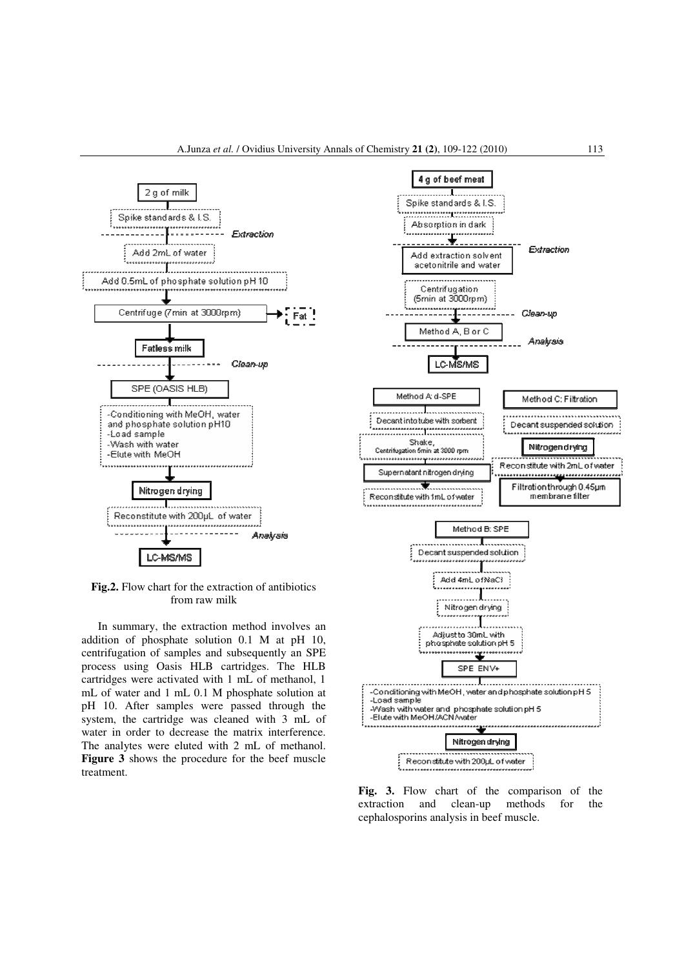

**Fig.2.** Flow chart for the extraction of antibiotics from raw milk

In summary, the extraction method involves an addition of phosphate solution 0.1 M at pH 10, centrifugation of samples and subsequently an SPE process using Oasis HLB cartridges. The HLB cartridges were activated with 1 mL of methanol, 1 mL of water and 1 mL 0.1 M phosphate solution at pH 10. After samples were passed through the system, the cartridge was cleaned with 3 mL of water in order to decrease the matrix interference. The analytes were eluted with 2 mL of methanol. **Figure 3** shows the procedure for the beef muscle treatment.



**Fig. 3.** Flow chart of the comparison of the extraction and clean-up methods for the cephalosporins analysis in beef muscle.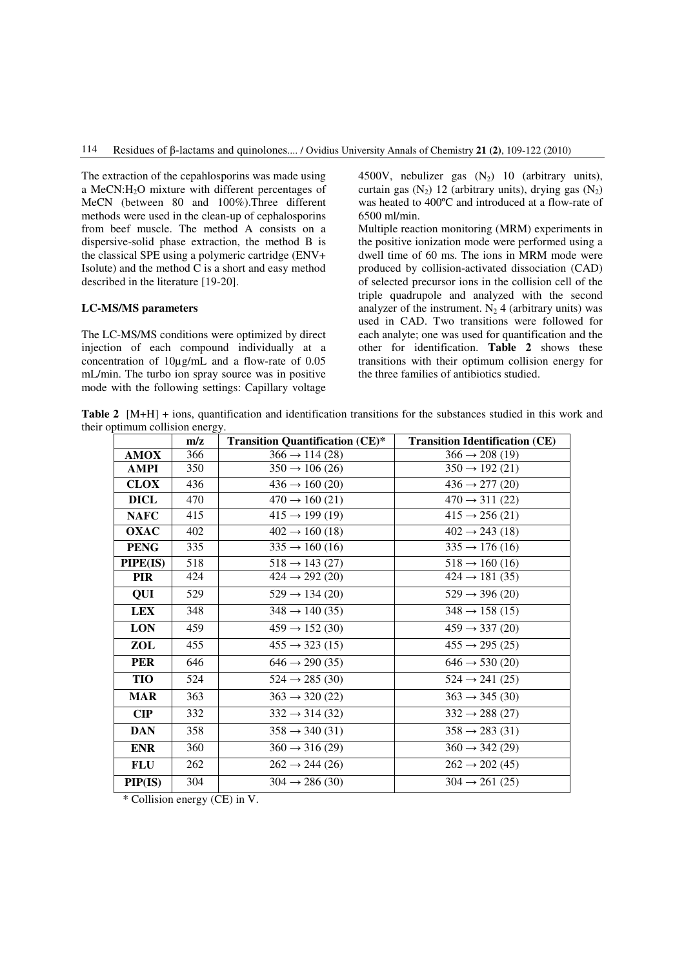The extraction of the cepahlosporins was made using a MeCN:H2O mixture with different percentages of MeCN (between 80 and 100%).Three different methods were used in the clean-up of cephalosporins from beef muscle. The method A consists on a dispersive-solid phase extraction, the method B is the classical SPE using a polymeric cartridge (ENV+ Isolute) and the method C is a short and easy method described in the literature [19-20].

# **LC-MS/MS parameters**

The LC-MS/MS conditions were optimized by direct injection of each compound individually at a concentration of 10µg/mL and a flow-rate of 0.05 mL/min. The turbo ion spray source was in positive mode with the following settings: Capillary voltage

4500V, nebulizer gas  $(N_2)$  10 (arbitrary units), curtain gas  $(N_2)$  12 (arbitrary units), drying gas  $(N_2)$ was heated to 400ºC and introduced at a flow-rate of 6500 ml/min.

Multiple reaction monitoring (MRM) experiments in the positive ionization mode were performed using a dwell time of 60 ms. The ions in MRM mode were produced by collision-activated dissociation (CAD) of selected precursor ions in the collision cell of the triple quadrupole and analyzed with the second analyzer of the instrument.  $N_2$  4 (arbitrary units) was used in CAD. Two transitions were followed for each analyte; one was used for quantification and the other for identification. **Table 2** shows these transitions with their optimum collision energy for the three families of antibiotics studied.

**Table 2** [M+H] + ions, quantification and identification transitions for the substances studied in this work and their optimum collision energy.

|                | m/z | <b>Transition Quantification (CE)*</b> | <b>Transition Identification (CE)</b> |
|----------------|-----|----------------------------------------|---------------------------------------|
| <b>AMOX</b>    | 366 | $366 \rightarrow 114(28)$              | $366 \rightarrow 208(19)$             |
| AMPI           | 350 | $350 \rightarrow 106 (26)$             | $350 \rightarrow 192(21)$             |
| <b>CLOX</b>    | 436 | $436 \rightarrow 160(20)$              | $436 \rightarrow 277(20)$             |
| <b>DICL</b>    | 470 | $470 \rightarrow 160(21)$              | $470 \rightarrow 311 (22)$            |
| <b>NAFC</b>    | 415 | $415 \rightarrow 199(19)$              | $415 \rightarrow 256(21)$             |
| <b>OXAC</b>    | 402 | $402 \rightarrow 160(18)$              | $402 \rightarrow 243(18)$             |
| <b>PENG</b>    | 335 | $335 \rightarrow 160(16)$              | $335 \rightarrow 176(16)$             |
| PIPE(IS)       | 518 | $518 \rightarrow 143(27)$              | $518 \rightarrow 160(16)$             |
| <b>PIR</b>     | 424 | $424 \rightarrow 292(20)$              | $424 \rightarrow 181 (35)$            |
| QUI            | 529 | $529 \rightarrow 134(20)$              | $529 \rightarrow 396(20)$             |
| <b>LEX</b>     | 348 | $348 \rightarrow 140(35)$              | $348 \rightarrow 158(15)$             |
| <b>LON</b>     | 459 | $459 \rightarrow 152(30)$              | $459 \rightarrow 337(20)$             |
| ZOL            | 455 | $455 \rightarrow 323(15)$              | $455 \rightarrow 295 (25)$            |
| <b>PER</b>     | 646 | $646 \rightarrow 290 (35)$             | $646 \rightarrow 530(20)$             |
| TIO            | 524 | $524 \rightarrow 285(30)$              | $524 \rightarrow 241(25)$             |
| <b>MAR</b>     | 363 | $363 \rightarrow 320 (22)$             | $363 \rightarrow 345(30)$             |
| $\mathbf{CIP}$ | 332 | $332 \rightarrow 314(32)$              | $332 \rightarrow 288(27)$             |
| <b>DAN</b>     | 358 | $358 \rightarrow 340(31)$              | $358 \rightarrow 283(31)$             |
| <b>ENR</b>     | 360 | $360 \rightarrow 316(29)$              | $360 \rightarrow 342(29)$             |
| <b>FLU</b>     | 262 | $262 \rightarrow 244(26)$              | $262 \rightarrow 202(45)$             |
| PIP(IS)        | 304 | $304 \rightarrow 286(30)$              | $304 \rightarrow 261(25)$             |

\* Collision energy (CE) in V.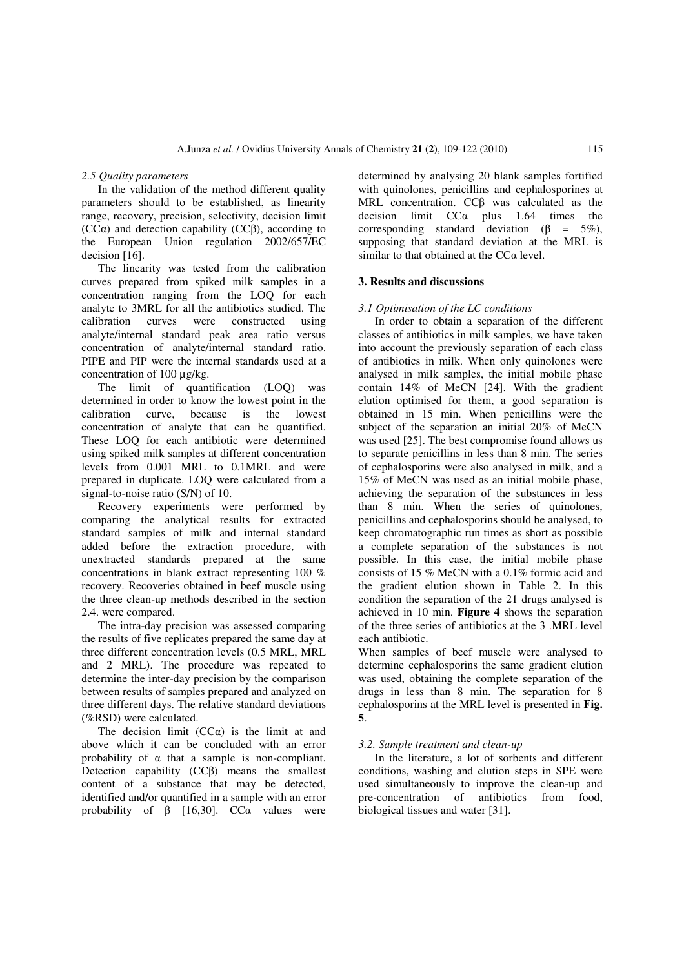#### *2.5 Quality parameters*

In the validation of the method different quality parameters should to be established, as linearity range, recovery, precision, selectivity, decision limit ( $CC\alpha$ ) and detection capability ( $CC\beta$ ), according to the European Union regulation 2002/657/EC decision [16].

The linearity was tested from the calibration curves prepared from spiked milk samples in a concentration ranging from the LOQ for each analyte to 3MRL for all the antibiotics studied. The calibration curves were constructed using analyte/internal standard peak area ratio versus concentration of analyte/internal standard ratio. PIPE and PIP were the internal standards used at a concentration of 100 ug/kg.

The limit of quantification (LOQ) was determined in order to know the lowest point in the calibration curve, because is the lowest concentration of analyte that can be quantified. These LOQ for each antibiotic were determined using spiked milk samples at different concentration levels from 0.001 MRL to 0.1MRL and were prepared in duplicate. LOQ were calculated from a signal-to-noise ratio (S/N) of 10.

Recovery experiments were performed by comparing the analytical results for extracted standard samples of milk and internal standard added before the extraction procedure, with unextracted standards prepared at the same concentrations in blank extract representing 100 % recovery. Recoveries obtained in beef muscle using the three clean-up methods described in the section 2.4. were compared.

The intra-day precision was assessed comparing the results of five replicates prepared the same day at three different concentration levels (0.5 MRL, MRL and 2 MRL). The procedure was repeated to determine the inter-day precision by the comparison between results of samples prepared and analyzed on three different days. The relative standard deviations (%RSD) were calculated.

The decision limit  $(CC\alpha)$  is the limit at and above which it can be concluded with an error probability of  $\alpha$  that a sample is non-compliant. Detection capability (CCβ) means the smallest content of a substance that may be detected, identified and/or quantified in a sample with an error probability of  $\beta$  [16,30]. CC $\alpha$  values were

determined by analysing 20 blank samples fortified with quinolones, penicillins and cephalosporines at MRL concentration. CCβ was calculated as the decision limit  $CC\alpha$  plus 1.64 times the corresponding standard deviation ( $\beta = 5\%$ ), supposing that standard deviation at the MRL is similar to that obtained at the  $CC\alpha$  level.

# **3. Results and discussions**

#### *3.1 Optimisation of the LC conditions*

In order to obtain a separation of the different classes of antibiotics in milk samples, we have taken into account the previously separation of each class of antibiotics in milk. When only quinolones were analysed in milk samples, the initial mobile phase contain 14% of MeCN [24]. With the gradient elution optimised for them, a good separation is obtained in 15 min. When penicillins were the subject of the separation an initial 20% of MeCN was used [25]. The best compromise found allows us to separate penicillins in less than 8 min. The series of cephalosporins were also analysed in milk, and a 15% of MeCN was used as an initial mobile phase, achieving the separation of the substances in less than 8 min. When the series of quinolones, penicillins and cephalosporins should be analysed, to keep chromatographic run times as short as possible a complete separation of the substances is not possible. In this case, the initial mobile phase consists of 15 % MeCN with a 0.1% formic acid and the gradient elution shown in Table 2. In this condition the separation of the 21 drugs analysed is achieved in 10 min. **Figure 4** shows the separation of the three series of antibiotics at the 3 .MRL level each antibiotic.

When samples of beef muscle were analysed to determine cephalosporins the same gradient elution was used, obtaining the complete separation of the drugs in less than 8 min. The separation for 8 cephalosporins at the MRL level is presented in **Fig. 5**.

## *3.2. Sample treatment and clean-up*

In the literature, a lot of sorbents and different conditions, washing and elution steps in SPE were used simultaneously to improve the clean-up and pre-concentration of antibiotics from food, biological tissues and water [31].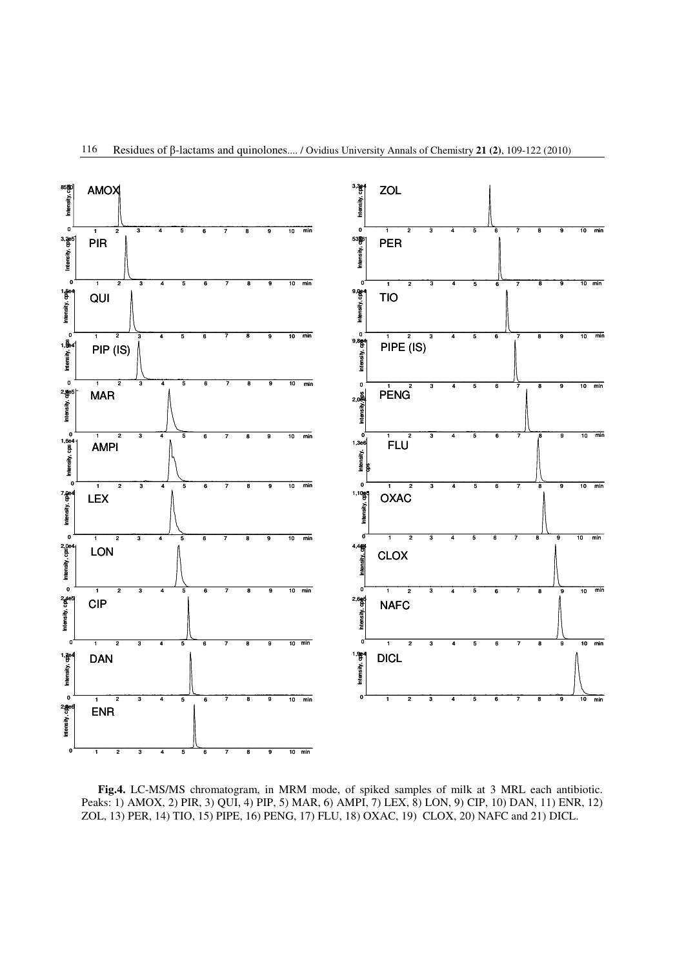

**Fig.4.** LC-MS/MS chromatogram, in MRM mode, of spiked samples of milk at 3 MRL each antibiotic. Peaks: 1) AMOX, 2) PIR, 3) QUI, 4) PIP, 5) MAR, 6) AMPI, 7) LEX, 8) LON, 9) CIP, 10) DAN, 11) ENR, 12) ZOL, 13) PER, 14) TIO, 15) PIPE, 16) PENG, 17) FLU, 18) OXAC, 19) CLOX, 20) NAFC and 21) DICL.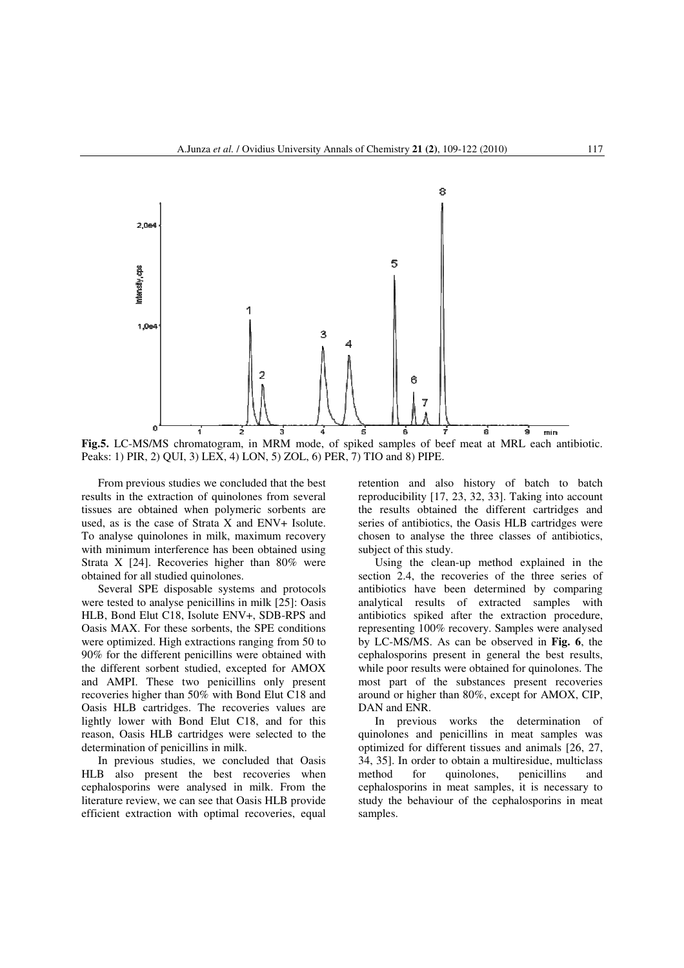

**Fig.5.** LC-MS/MS chromatogram, in MRM mode, of spiked samples of beef meat at MRL each antibiotic. Peaks: 1) PIR, 2) QUI, 3) LEX, 4) LON, 5) ZOL, 6) PER, 7) TIO and 8) PIPE.

From previous studies we concluded that the best results in the extraction of quinolones from several tissues are obtained when polymeric sorbents are used, as is the case of Strata X and ENV+ Isolute. To analyse quinolones in milk, maximum recovery with minimum interference has been obtained using Strata X [24]. Recoveries higher than 80% were obtained for all studied quinolones.

Several SPE disposable systems and protocols were tested to analyse penicillins in milk [25]: Oasis HLB, Bond Elut C18, Isolute ENV+, SDB-RPS and Oasis MAX. For these sorbents, the SPE conditions were optimized. High extractions ranging from 50 to 90% for the different penicillins were obtained with the different sorbent studied, excepted for AMOX and AMPI. These two penicillins only present recoveries higher than 50% with Bond Elut C18 and Oasis HLB cartridges. The recoveries values are lightly lower with Bond Elut C18, and for this reason, Oasis HLB cartridges were selected to the determination of penicillins in milk.

In previous studies, we concluded that Oasis HLB also present the best recoveries when cephalosporins were analysed in milk. From the literature review, we can see that Oasis HLB provide efficient extraction with optimal recoveries, equal retention and also history of batch to batch reproducibility [17, 23, 32, 33]. Taking into account the results obtained the different cartridges and series of antibiotics, the Oasis HLB cartridges were chosen to analyse the three classes of antibiotics, subject of this study.

Using the clean-up method explained in the section 2.4, the recoveries of the three series of antibiotics have been determined by comparing analytical results of extracted samples with antibiotics spiked after the extraction procedure, representing 100% recovery. Samples were analysed by LC-MS/MS. As can be observed in **Fig. 6**, the cephalosporins present in general the best results, while poor results were obtained for quinolones. The most part of the substances present recoveries around or higher than 80%, except for AMOX, CIP, DAN and ENR.

In previous works the determination of quinolones and penicillins in meat samples was optimized for different tissues and animals [26, 27, 34, 35]. In order to obtain a multiresidue, multiclass method for quinolones, penicillins and cephalosporins in meat samples, it is necessary to study the behaviour of the cephalosporins in meat samples.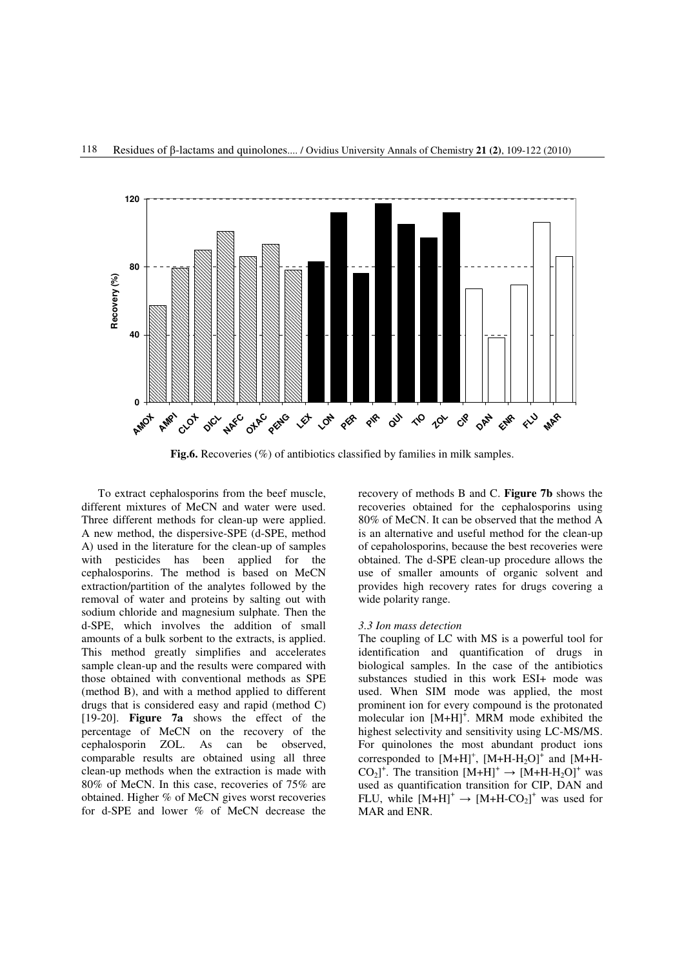

**Fig.6.** Recoveries (%) of antibiotics classified by families in milk samples.

To extract cephalosporins from the beef muscle, different mixtures of MeCN and water were used. Three different methods for clean-up were applied. A new method, the dispersive-SPE (d-SPE, method A) used in the literature for the clean-up of samples with pesticides has been applied for the cephalosporins. The method is based on MeCN extraction/partition of the analytes followed by the removal of water and proteins by salting out with sodium chloride and magnesium sulphate. Then the d-SPE, which involves the addition of small amounts of a bulk sorbent to the extracts, is applied. This method greatly simplifies and accelerates sample clean-up and the results were compared with those obtained with conventional methods as SPE (method B), and with a method applied to different drugs that is considered easy and rapid (method C) [19-20]. **Figure 7a** shows the effect of the percentage of MeCN on the recovery of the cephalosporin ZOL. As can be observed, comparable results are obtained using all three clean-up methods when the extraction is made with 80% of MeCN. In this case, recoveries of 75% are obtained. Higher % of MeCN gives worst recoveries for d-SPE and lower % of MeCN decrease the

recovery of methods B and C. **Figure 7b** shows the recoveries obtained for the cephalosporins using 80% of MeCN. It can be observed that the method A is an alternative and useful method for the clean-up of cepaholosporins, because the best recoveries were obtained. The d-SPE clean-up procedure allows the use of smaller amounts of organic solvent and provides high recovery rates for drugs covering a wide polarity range.

### *3.3 Ion mass detection*

The coupling of LC with MS is a powerful tool for identification and quantification of drugs in biological samples. In the case of the antibiotics substances studied in this work ESI+ mode was used. When SIM mode was applied, the most prominent ion for every compound is the protonated molecular ion  $[M+H]^+$ . MRM mode exhibited the highest selectivity and sensitivity using LC-MS/MS. For quinolones the most abundant product ions corresponded to  $[M+H]^+$ ,  $[M+H-H_2O]^+$  and  $[M+H-H_2O]^+$  $CO_2$ <sup>+</sup>. The transition  $[M+H]^+ \rightarrow [M+H+H_2O]^+$  was used as quantification transition for CIP, DAN and FLU, while  $[M+H]^+ \rightarrow [M+H-CO_2]^+$  was used for MAR and ENR.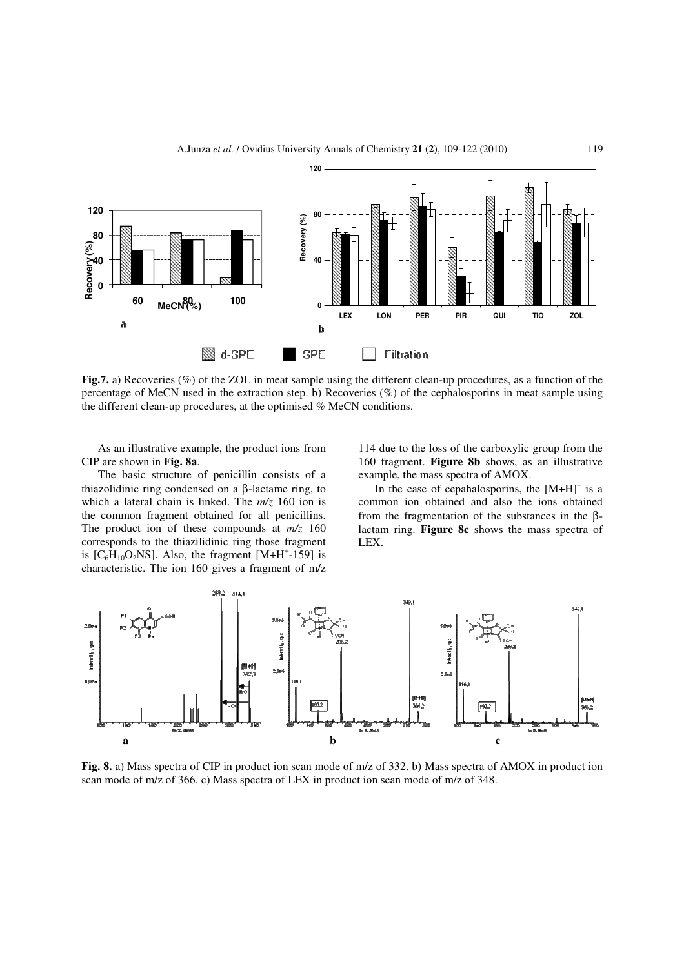

**Fig.7.** a) Recoveries (%) of the ZOL in meat sample using the different clean-up procedures, as a function of the percentage of MeCN used in the extraction step. b) Recoveries (%) of the cephalosporins in meat sample using the different clean-up procedures, at the optimised % MeCN conditions.

As an illustrative example, the product ions from CIP are shown in **Fig. 8a**.

The basic structure of penicillin consists of a thiazolidinic ring condensed on a β-lactame ring, to which a lateral chain is linked. The *m/z* 160 ion is the common fragment obtained for all penicillins. The product ion of these compounds at *m/z* 160 corresponds to the thiazilidinic ring those fragment is  $[C_6H_{10}O_2NS]$ . Also, the fragment  $[M+H^+$ -159] is characteristic. The ion 160 gives a fragment of m/z

114 due to the loss of the carboxylic group from the 160 fragment. **Figure 8b** shows, as an illustrative example, the mass spectra of AMOX.

In the case of cepahalosporins, the  $[M+H]$ <sup>+</sup> is a common ion obtained and also the ions obtained from the fragmentation of the substances in the βlactam ring. **Figure 8c** shows the mass spectra of LEX.



**Fig. 8.** a) Mass spectra of CIP in product ion scan mode of m/z of 332. b) Mass spectra of AMOX in product ion scan mode of m/z of 366. c) Mass spectra of LEX in product ion scan mode of m/z of 348.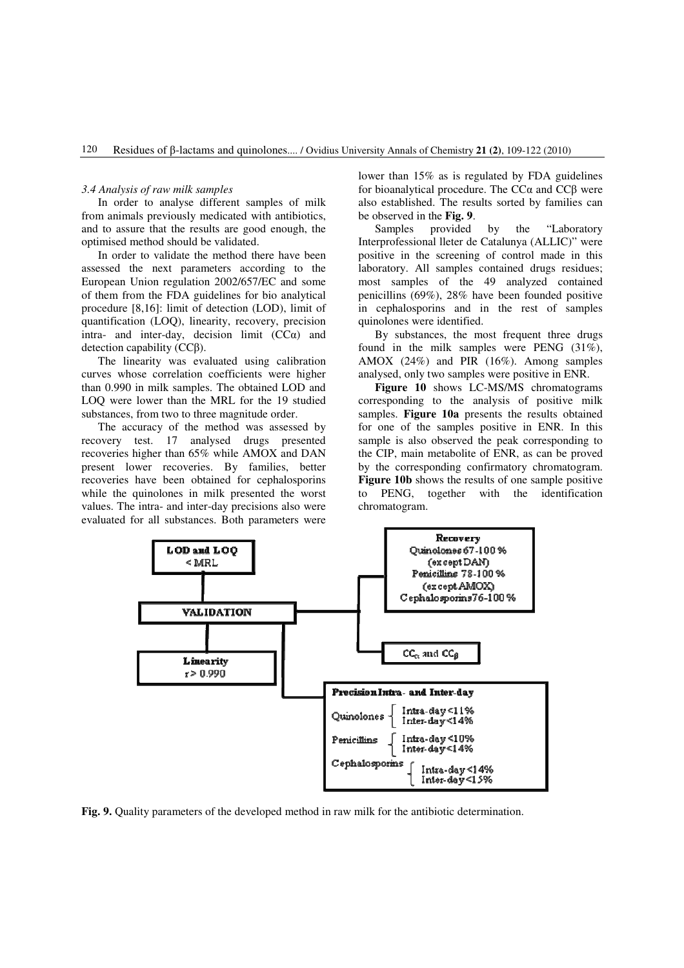#### *3.4 Analysis of raw milk samples*

In order to analyse different samples of milk from animals previously medicated with antibiotics, and to assure that the results are good enough, the optimised method should be validated.

In order to validate the method there have been assessed the next parameters according to the European Union regulation 2002/657/EC and some of them from the FDA guidelines for bio analytical procedure [8,16]: limit of detection (LOD), limit of quantification (LOQ), linearity, recovery, precision intra- and inter-day, decision limit  $(CC<sub>\alpha</sub>)$  and detection capability (CCβ).

The linearity was evaluated using calibration curves whose correlation coefficients were higher than 0.990 in milk samples. The obtained LOD and LOQ were lower than the MRL for the 19 studied substances, from two to three magnitude order.

The accuracy of the method was assessed by recovery test. 17 analysed drugs presented recoveries higher than 65% while AMOX and DAN present lower recoveries. By families, better recoveries have been obtained for cephalosporins while the quinolones in milk presented the worst values. The intra- and inter-day precisions also were evaluated for all substances. Both parameters were

lower than 15% as is regulated by FDA guidelines for bioanalytical procedure. The CCα and CCβ were also established. The results sorted by families can be observed in the **Fig. 9**.

Samples provided by the "Laboratory Interprofessional lleter de Catalunya (ALLIC)" were positive in the screening of control made in this laboratory. All samples contained drugs residues; most samples of the 49 analyzed contained penicillins (69%), 28% have been founded positive in cephalosporins and in the rest of samples quinolones were identified.

By substances, the most frequent three drugs found in the milk samples were PENG (31%), AMOX (24%) and PIR (16%). Among samples analysed, only two samples were positive in ENR.

**Figure 10** shows LC-MS/MS chromatograms corresponding to the analysis of positive milk samples. **Figure 10a** presents the results obtained for one of the samples positive in ENR. In this sample is also observed the peak corresponding to the CIP, main metabolite of ENR, as can be proved by the corresponding confirmatory chromatogram. **Figure 10b** shows the results of one sample positive to PENG, together with the identification chromatogram.



**Fig. 9.** Quality parameters of the developed method in raw milk for the antibiotic determination.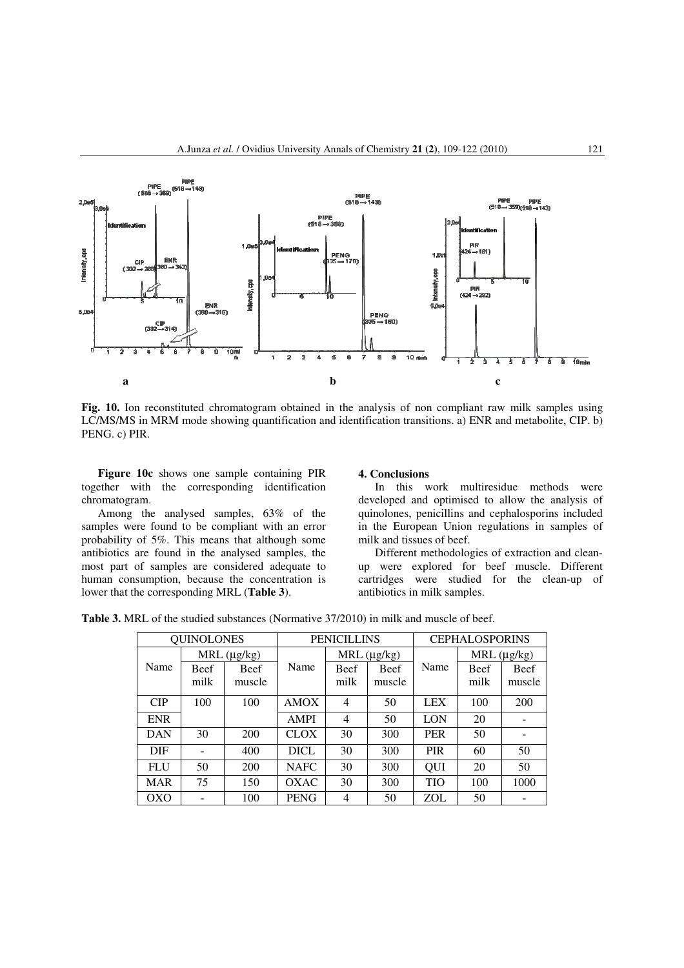

**Fig. 10.** Ion reconstituted chromatogram obtained in the analysis of non compliant raw milk samples using LC/MS/MS in MRM mode showing quantification and identification transitions. a) ENR and metabolite, CIP. b) PENG. c) PIR.

**Figure 10c** shows one sample containing PIR together with the corresponding identification chromatogram.

Among the analysed samples, 63% of the samples were found to be compliant with an error probability of 5%. This means that although some antibiotics are found in the analysed samples, the most part of samples are considered adequate to human consumption, because the concentration is lower that the corresponding MRL (**Table 3**).

#### **4. Conclusions**

In this work multiresidue methods were developed and optimised to allow the analysis of quinolones, penicillins and cephalosporins included in the European Union regulations in samples of milk and tissues of beef.

Different methodologies of extraction and cleanup were explored for beef muscle. Different cartridges were studied for the clean-up of antibiotics in milk samples.

**Table 3.** MRL of the studied substances (Normative 37/2010) in milk and muscle of beef.

| <b>QUINOLONES</b>   |      |        | <b>PENICILLINS</b> |                     |        | <b>CEPHALOSPORINS</b> |                     |             |
|---------------------|------|--------|--------------------|---------------------|--------|-----------------------|---------------------|-------------|
| $MRL$ ( $\mu$ g/kg) |      |        |                    | $MRL$ ( $\mu$ g/kg) |        |                       | $MRL$ ( $\mu$ g/kg) |             |
| Name                | Beef | Beef   | Name               | Beef                | Beef   | Name                  | Beef                | <b>Beef</b> |
|                     | milk | muscle |                    | milk                | muscle |                       | milk                | muscle      |
| CIP                 | 100  | 100    | <b>AMOX</b>        | 4                   | 50     | <b>LEX</b>            | 100                 | 200         |
| <b>ENR</b>          |      |        | <b>AMPI</b>        | 4                   | 50     | <b>LON</b>            | 20                  |             |
| <b>DAN</b>          | 30   | 200    | <b>CLOX</b>        | 30                  | 300    | <b>PER</b>            | 50                  |             |
| <b>DIF</b>          |      | 400    | <b>DICL</b>        | 30                  | 300    | <b>PIR</b>            | 60                  | 50          |
| <b>FLU</b>          | 50   | 200    | <b>NAFC</b>        | 30                  | 300    | QUI                   | 20                  | 50          |
| <b>MAR</b>          | 75   | 150    | <b>OXAC</b>        | 30                  | 300    | <b>TIO</b>            | 100                 | 1000        |
| <b>OXO</b>          |      | 100    | <b>PENG</b>        | 4                   | 50     | <b>ZOL</b>            | 50                  |             |